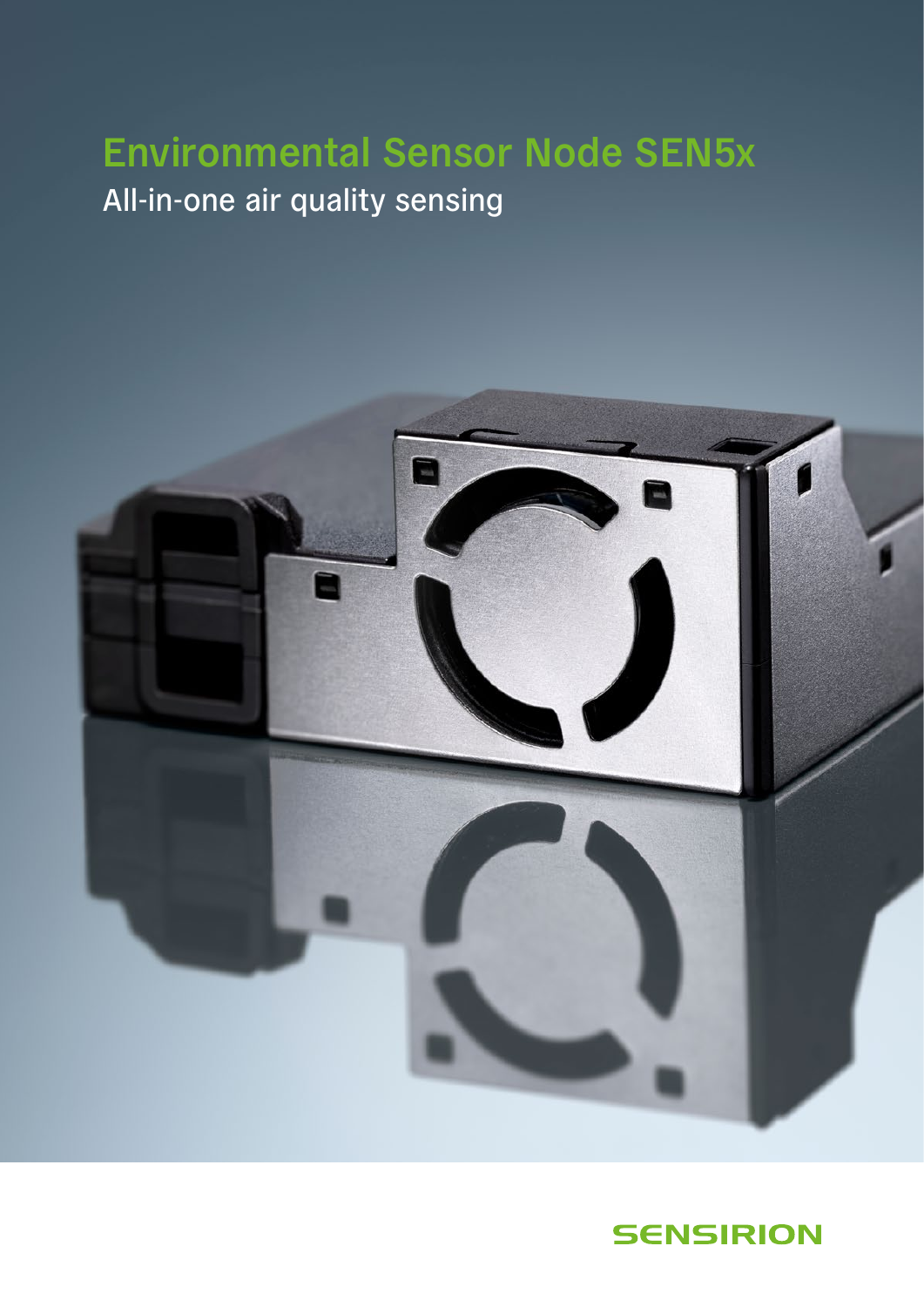# **Environmental Sensor Node SEN5x** All-in-one air quality sensing



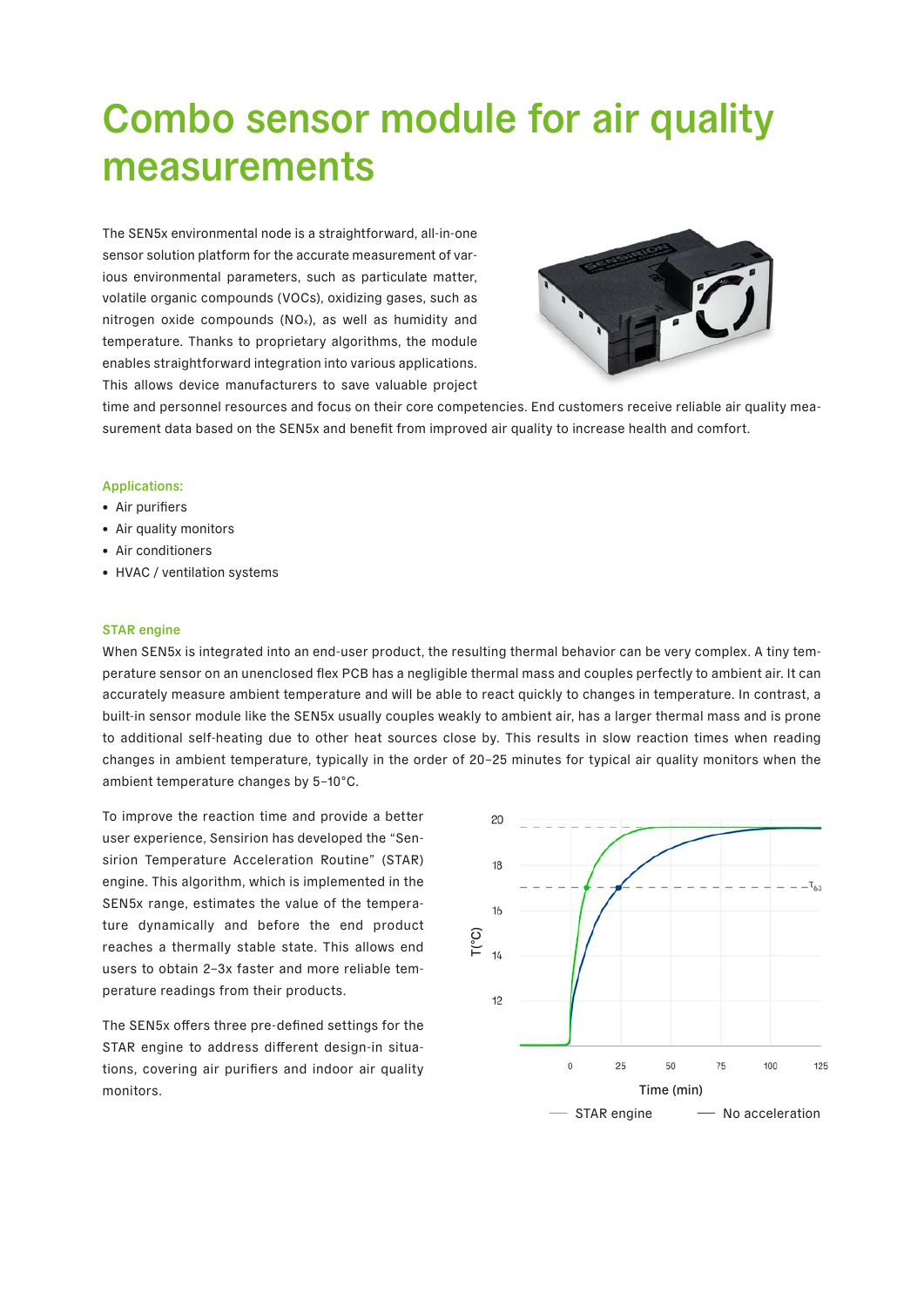# Combo sensor module for air quality measurements

The SEN5x environmental node is a straightforward, all-in-one sensor solution platform for the accurate measurement of various environmental parameters, such as particulate matter, volatile organic compounds (VOCs), oxidizing gases, such as nitrogen oxide compounds (NOx), as well as humidity and temperature. Thanks to proprietary algorithms, the module enables straightforward integration into various applications. This allows device manufacturers to save valuable project



time and personnel resources and focus on their core competencies. End customers receive reliable air quality measurement data based on the SEN5x and benefit from improved air quality to increase health and comfort.

## Applications:

- Air purifiers
- Air quality monitors
- Air conditioners
- HVAC / ventilation systems

#### STAR engine

When SEN5x is integrated into an end-user product, the resulting thermal behavior can be very complex. A tiny temperature sensor on an unenclosed flex PCB has a negligible thermal mass and couples perfectly to ambient air. It can accurately measure ambient temperature and will be able to react quickly to changes in temperature. In contrast, a built-in sensor module like the SEN5x usually couples weakly to ambient air, has a larger thermal mass and is prone to additional self-heating due to other heat sources close by. This results in slow reaction times when reading changes in ambient temperature, typically in the order of 20–25 minutes for typical air quality monitors when the ambient temperature changes by 5–10°C.

To improve the reaction time and provide a better user experience, Sensirion has developed the "Sensirion Temperature Acceleration Routine" (STAR) engine. This algorithm, which is implemented in the SEN5x range, estimates the value of the temperature dynamically and before the end product reaches a thermally stable state. This allows end users to obtain 2–3x faster and more reliable temperature readings from their products.

The SEN5x offers three pre-defined settings for the STAR engine to address different design-in situations, covering air purifiers and indoor air quality monitors.

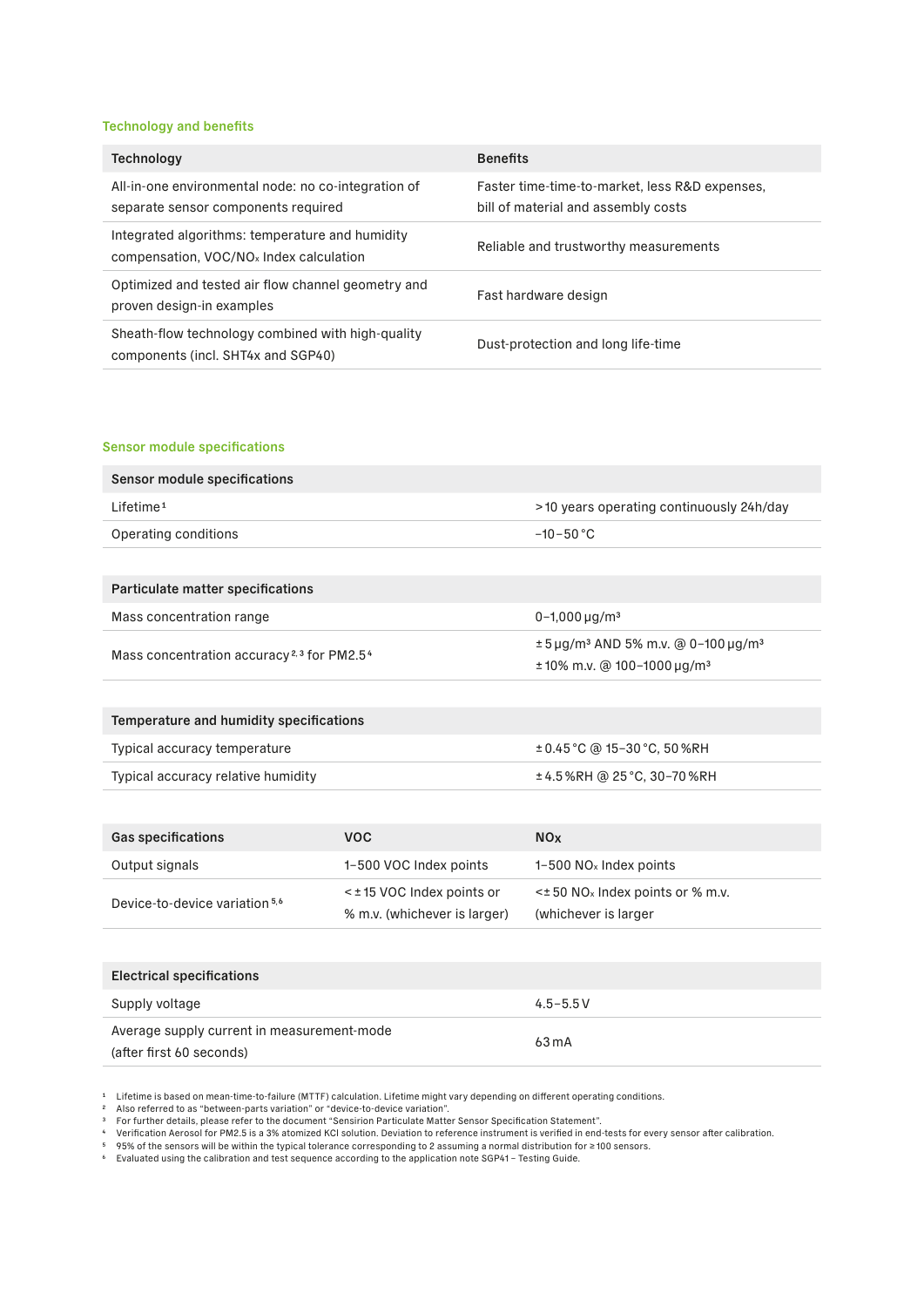### Technology and benefits

| Technology                                                                                             | <b>Benefits</b>                                                                       |
|--------------------------------------------------------------------------------------------------------|---------------------------------------------------------------------------------------|
| All-in-one environmental node: no co-integration of<br>separate sensor components required             | Faster time-time-to-market, less R&D expenses,<br>bill of material and assembly costs |
| Integrated algorithms: temperature and humidity<br>compensation, VOC/NO <sub>x</sub> Index calculation | Reliable and trustworthy measurements                                                 |
| Optimized and tested air flow channel geometry and<br>proven design-in examples                        | Fast hardware design                                                                  |
| Sheath-flow technology combined with high-quality<br>components (incl. SHT4x and SGP40)                | Dust-protection and long life-time                                                    |

#### Sensor module specifications

| Sensor module specifications                                      |                                                            |                                                                                                          |
|-------------------------------------------------------------------|------------------------------------------------------------|----------------------------------------------------------------------------------------------------------|
| Lifetime <sup>1</sup>                                             |                                                            | >10 years operating continuously 24h/day                                                                 |
| Operating conditions                                              |                                                            | $-10-50 °C$                                                                                              |
|                                                                   |                                                            |                                                                                                          |
| Particulate matter specifications                                 |                                                            |                                                                                                          |
| Mass concentration range                                          |                                                            | $0 - 1,000 \mu q/m^3$                                                                                    |
| Mass concentration accuracy <sup>2,3</sup> for PM2.5 <sup>4</sup> |                                                            | ± 5 μg/m <sup>3</sup> AND 5% m.v. @ 0-100 μg/m <sup>3</sup><br>$±10\%$ m.v. @ 100-1000 µg/m <sup>3</sup> |
|                                                                   |                                                            |                                                                                                          |
| Temperature and humidity specifications                           |                                                            |                                                                                                          |
| Typical accuracy temperature                                      |                                                            | ± 0.45 °C @ 15-30 °C, 50 %RH                                                                             |
| Typical accuracy relative humidity                                |                                                            | ±4.5%RH @ 25°C, 30-70%RH                                                                                 |
|                                                                   |                                                            |                                                                                                          |
| <b>Gas specifications</b>                                         | <b>VOC</b>                                                 | <b>NO<sub>x</sub></b>                                                                                    |
| Output signals                                                    | 1-500 VOC Index points                                     | $1-500$ NO <sub>x</sub> Index points                                                                     |
| Device-to-device variation <sup>5,6</sup>                         | < ± 15 VOC Index points or<br>% m.v. (whichever is larger) | < $\pm$ 50 NO <sub>x</sub> Index points or % m.v.<br>(whichever is larger                                |
|                                                                   |                                                            |                                                                                                          |
| <b>Electrical specifications</b>                                  |                                                            |                                                                                                          |
| Supply voltage                                                    |                                                            | $4.5 - 5.5 V$                                                                                            |

1 Lifetime is based on mean-time-to-failure (MTTF) calculation. Lifetime might vary depending on different operating conditions.

Average supply current in measurement-mode

(after first 60 seconds)

2 Also referred to as "between-parts variation" or "device-to-device variation". 3 For further details, please refer to the document "Sensirion Particulate Matter Sensor Specification Statement".

4 Verification Aerosol for PM2.5 is a 3% atomized KCl solution. Deviation to reference instrument is verified in end-tests for every sensor after calibration.

63 mA

『 95% of the sensors will be within the typical tolerance corresponding to 2 assuming a normal distribution for ≥100 sensors.<br>『 Evaluated using the calibration and test sequence according to the application note SGP41 – T